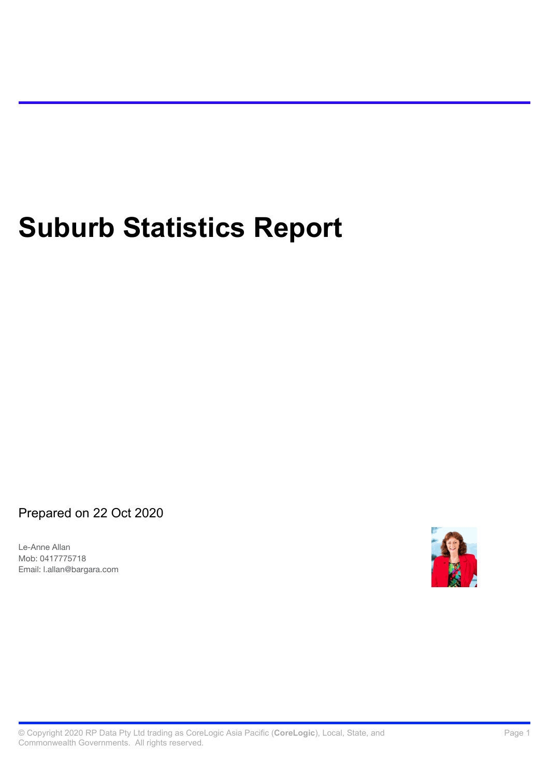# **Suburb Statistics Report**

Prepared on 22 Oct 2020

Le-Anne Allan Email: l.allan@bargara.com Mob: 0417775718

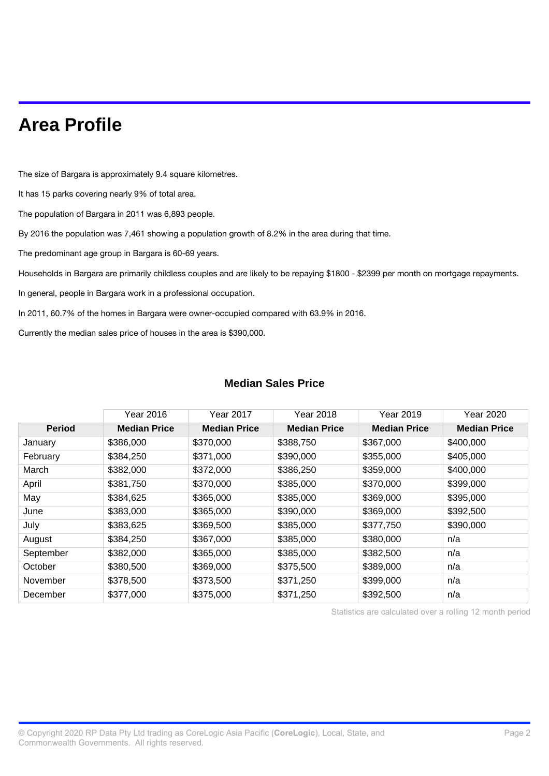# **Area Profile**

The size of Bargara is approximately 9.4 square kilometres.

It has 15 parks covering nearly 9% of total area.

The population of Bargara in 2011 was 6,893 people.

By 2016 the population was 7,461 showing a population growth of 8.2% in the area during that time.

The predominant age group in Bargara is 60-69 years.

Households in Bargara are primarily childless couples and are likely to be repaying \$1800 - \$2399 per month on mortgage repayments.

In general, people in Bargara work in a professional occupation.

In 2011, 60.7% of the homes in Bargara were owner-occupied compared with 63.9% in 2016.

Currently the median sales price of houses in the area is \$390,000.

#### **Median Sales Price**

|               | Year 2016           | Year 2017           | <b>Year 2018</b>    | <b>Year 2019</b>    | <b>Year 2020</b>    |
|---------------|---------------------|---------------------|---------------------|---------------------|---------------------|
| <b>Period</b> | <b>Median Price</b> | <b>Median Price</b> | <b>Median Price</b> | <b>Median Price</b> | <b>Median Price</b> |
| January       | \$386,000           | \$370,000           | \$388,750           | \$367,000           | \$400,000           |
| February      | \$384,250           | \$371,000           | \$390,000           | \$355,000           | \$405,000           |
| March         | \$382,000           | \$372,000           | \$386,250           | \$359,000           | \$400,000           |
| April         | \$381,750           | \$370,000           | \$385,000           | \$370,000           | \$399,000           |
| May           | \$384,625           | \$365,000           | \$385,000           | \$369,000           | \$395,000           |
| June          | \$383,000           | \$365,000           | \$390,000           | \$369,000           | \$392,500           |
| July          | \$383,625           | \$369,500           | \$385,000           | \$377,750           | \$390,000           |
| August        | \$384,250           | \$367,000           | \$385,000           | \$380,000           | n/a                 |
| September     | \$382,000           | \$365,000           | \$385,000           | \$382,500           | n/a                 |
| October       | \$380,500           | \$369,000           | \$375,500           | \$389,000           | n/a                 |
| November      | \$378,500           | \$373,500           | \$371,250           | \$399,000           | n/a                 |
| December      | \$377,000           | \$375,000           | \$371,250           | \$392,500           | n/a                 |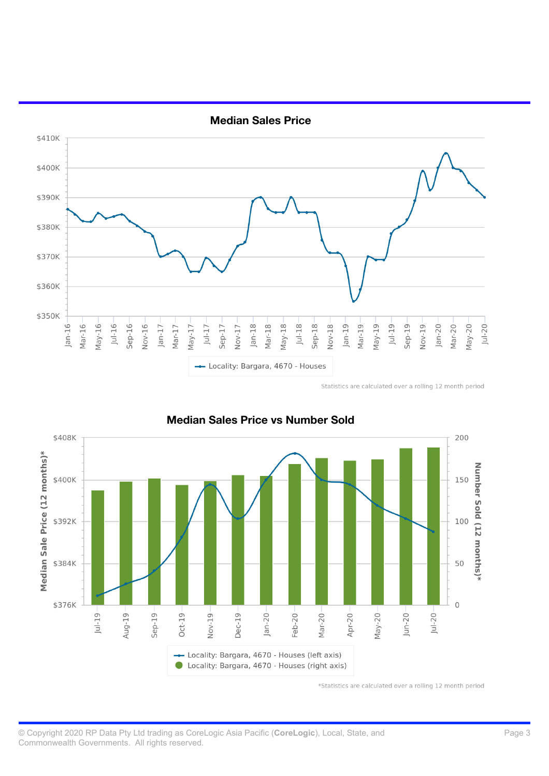

**Median Sales Price**

Statistics are calculated over a rolling 12 month period



# **Median Sales Price vs Number Sold**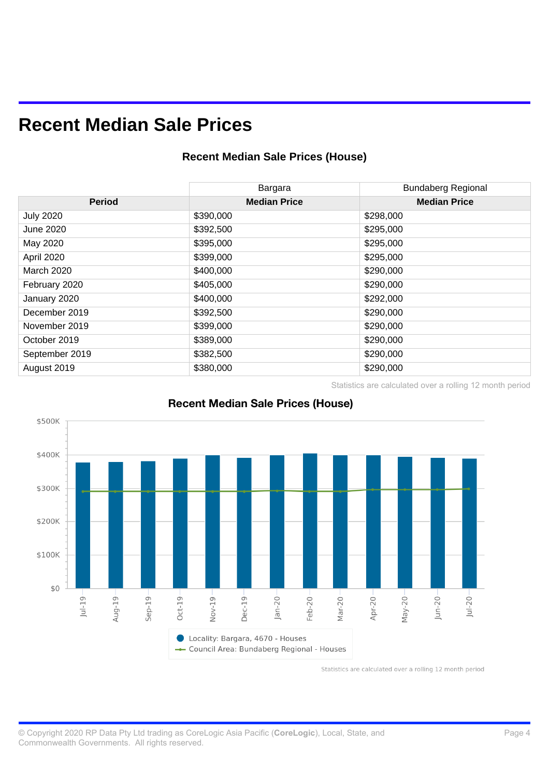# **Recent Median Sale Prices**

### **Recent Median Sale Prices (House)**

|                   | Bargara             | <b>Bundaberg Regional</b> |
|-------------------|---------------------|---------------------------|
| <b>Period</b>     | <b>Median Price</b> | <b>Median Price</b>       |
| <b>July 2020</b>  | \$390,000           | \$298,000                 |
| June 2020         | \$392,500           | \$295,000                 |
| May 2020          | \$395,000           | \$295,000                 |
| April 2020        | \$399,000           | \$295,000                 |
| <b>March 2020</b> | \$400,000           | \$290,000                 |
| February 2020     | \$405,000           | \$290,000                 |
| January 2020      | \$400,000           | \$292,000                 |
| December 2019     | \$392,500           | \$290,000                 |
| November 2019     | \$399,000           | \$290,000                 |
| October 2019      | \$389,000           | \$290,000                 |
| September 2019    | \$382,500           | \$290,000                 |
| August 2019       | \$380,000           | \$290,000                 |

Statistics are calculated over a rolling 12 month period



#### **Recent Median Sale Prices (House)**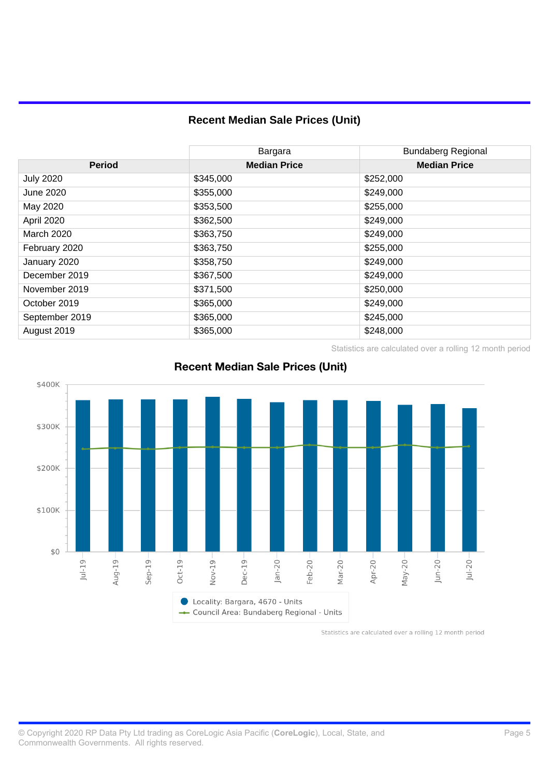### **Recent Median Sale Prices (Unit)**

|                   | Bargara             | <b>Bundaberg Regional</b> |
|-------------------|---------------------|---------------------------|
| <b>Period</b>     | <b>Median Price</b> | <b>Median Price</b>       |
| <b>July 2020</b>  | \$345,000           | \$252,000                 |
| June 2020         | \$355,000           | \$249,000                 |
| May 2020          | \$353,500           | \$255,000                 |
| April 2020        | \$362,500           | \$249,000                 |
| <b>March 2020</b> | \$363,750           | \$249,000                 |
| February 2020     | \$363,750           | \$255,000                 |
| January 2020      | \$358,750           | \$249,000                 |
| December 2019     | \$367,500           | \$249,000                 |
| November 2019     | \$371,500           | \$250,000                 |
| October 2019      | \$365,000           | \$249,000                 |
| September 2019    | \$365,000           | \$245,000                 |
| August 2019       | \$365,000           | \$248,000                 |

Statistics are calculated over a rolling 12 month period



# **Recent Median Sale Prices (Unit)**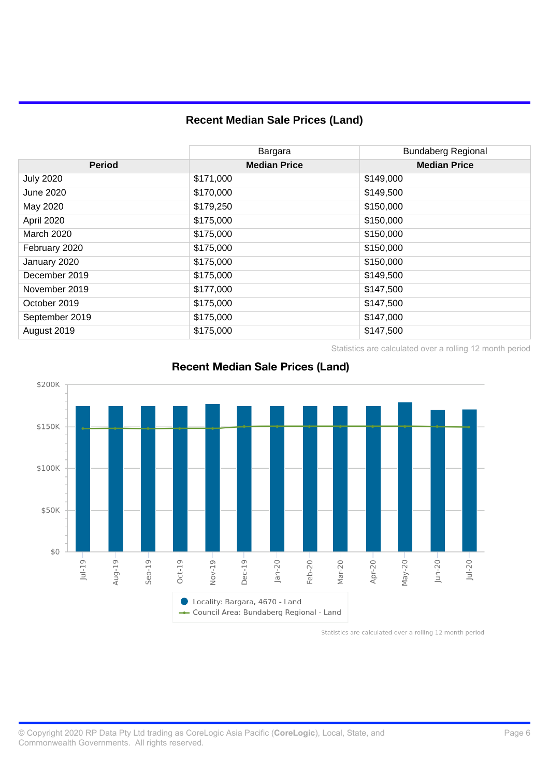### **Recent Median Sale Prices (Land)**

|                   | Bargara             | <b>Bundaberg Regional</b> |
|-------------------|---------------------|---------------------------|
| <b>Period</b>     | <b>Median Price</b> | <b>Median Price</b>       |
| <b>July 2020</b>  | \$171,000           | \$149,000                 |
| <b>June 2020</b>  | \$170,000           | \$149,500                 |
| May 2020          | \$179,250           | \$150,000                 |
| April 2020        | \$175,000           | \$150,000                 |
| <b>March 2020</b> | \$175,000           | \$150,000                 |
| February 2020     | \$175,000           | \$150,000                 |
| January 2020      | \$175,000           | \$150,000                 |
| December 2019     | \$175,000           | \$149,500                 |
| November 2019     | \$177,000           | \$147,500                 |
| October 2019      | \$175,000           | \$147,500                 |
| September 2019    | \$175,000           | \$147,000                 |
| August 2019       | \$175,000           | \$147,500                 |

Statistics are calculated over a rolling 12 month period



# **Recent Median Sale Prices (Land)**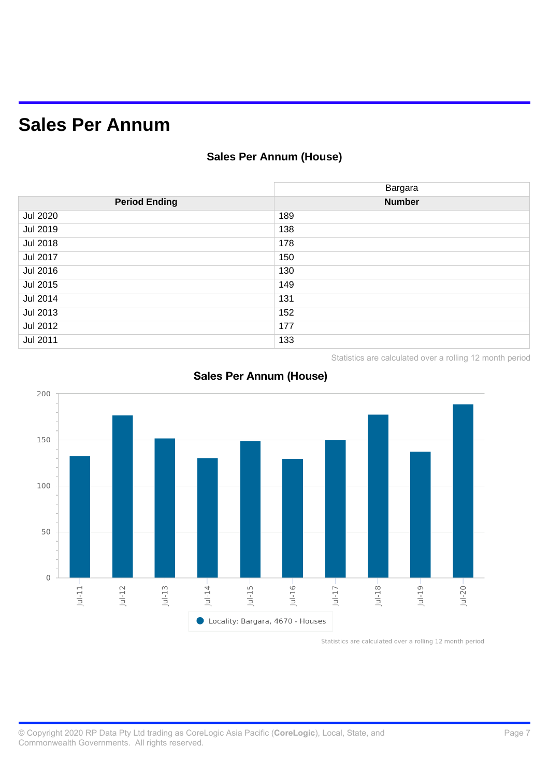# **Sales Per Annum**

# **Sales Per Annum (House)**

|                      | Bargara       |
|----------------------|---------------|
| <b>Period Ending</b> | <b>Number</b> |
| Jul 2020             | 189           |
| Jul 2019             | 138           |
| Jul 2018             | 178           |
| Jul 2017             | 150           |
| Jul 2016             | 130           |
| Jul 2015             | 149           |
| Jul 2014             | 131           |
| Jul 2013             | 152           |
| Jul 2012             | 177           |
| Jul 2011             | 133           |

Statistics are calculated over a rolling 12 month period



#### **Sales Per Annum (House)**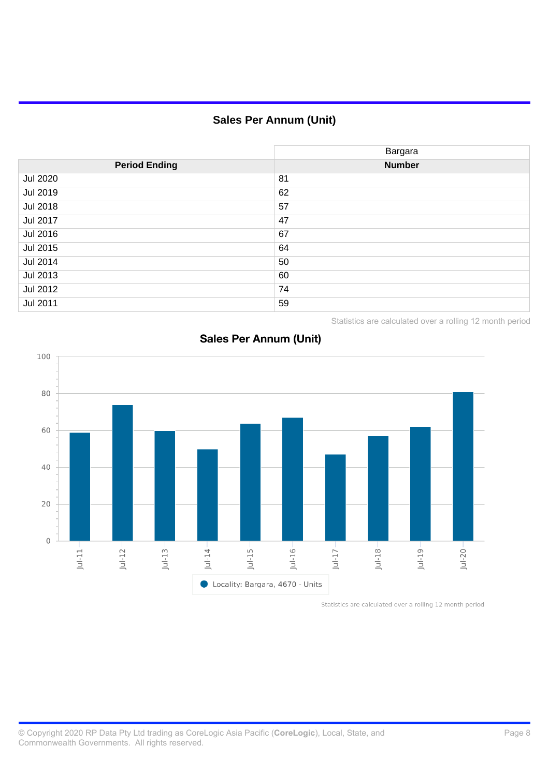# **Sales Per Annum (Unit)**

|                      | Bargara       |
|----------------------|---------------|
| <b>Period Ending</b> | <b>Number</b> |
| <b>Jul 2020</b>      | 81            |
| <b>Jul 2019</b>      | 62            |
| Jul 2018             | 57            |
| Jul 2017             | 47            |
| Jul 2016             | 67            |
| Jul 2015             | 64            |
| Jul 2014             | 50            |
| Jul 2013             | 60            |
| Jul 2012             | 74            |
| Jul 2011             | 59            |

Statistics are calculated over a rolling 12 month period



#### **Sales Per Annum (Unit)**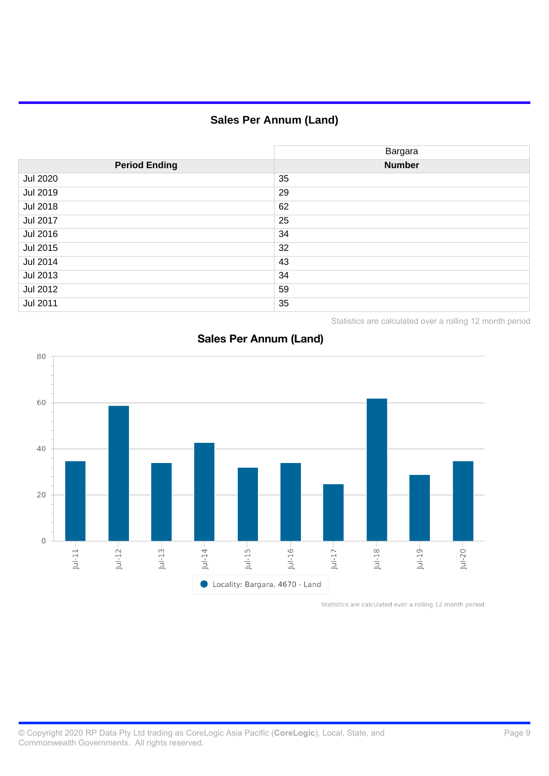# **Sales Per Annum (Land)**

|                      | Bargara       |
|----------------------|---------------|
| <b>Period Ending</b> | <b>Number</b> |
| <b>Jul 2020</b>      | 35            |
| <b>Jul 2019</b>      | 29            |
| <b>Jul 2018</b>      | 62            |
| Jul 2017             | 25            |
| Jul 2016             | 34            |
| Jul 2015             | 32            |
| Jul 2014             | 43            |
| Jul 2013             | 34            |
| Jul 2012             | 59            |
| Jul 2011             | 35            |

Statistics are calculated over a rolling 12 month period



#### **Sales Per Annum (Land)**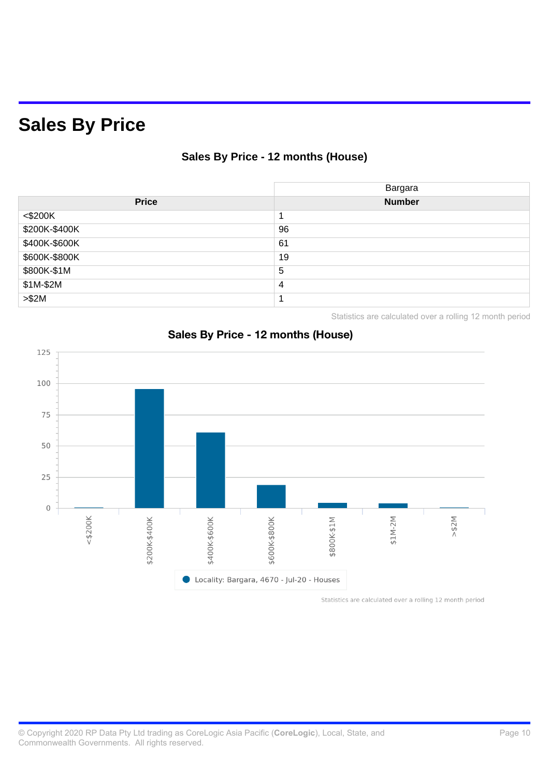# **Sales By Price**

# **Sales By Price - 12 months (House)**

|               | Bargara       |
|---------------|---------------|
| <b>Price</b>  | <b>Number</b> |
| $<$ \$200K    |               |
| \$200K-\$400K | 96            |
| \$400K-\$600K | 61            |
| \$600K-\$800K | 19            |
| \$800K-\$1M   | 5             |
| \$1M-\$2M     | 4             |
| > \$2M        |               |

Statistics are calculated over a rolling 12 month period



# **Sales By Price - 12 months (House)**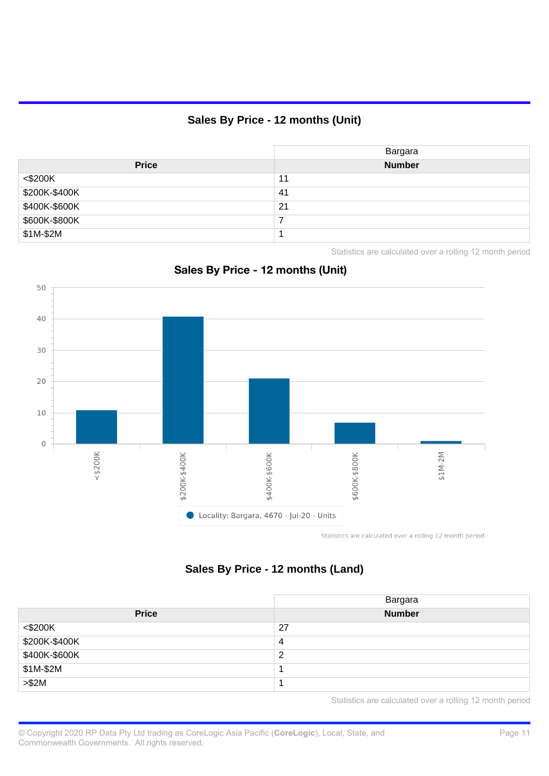# **Sales By Price - 12 months (Unit)**

|               | Bargara       |
|---------------|---------------|
| <b>Price</b>  | <b>Number</b> |
| $<$ \$200K    | 11            |
| \$200K-\$400K | 41            |
| \$400K-\$600K | 21            |
| \$600K-\$800K | 7             |
| $$1M-$2M$     |               |

Statistics are calculated over a rolling 12 month period



### **Sales By Price - 12 months (Unit)**

# **Sales By Price - 12 months (Land)**

|                                     | Bargara       |
|-------------------------------------|---------------|
| <b>Price</b>                        | <b>Number</b> |
| $<$ \$200K                          | 27            |
| \$200K-\$400K                       | 4             |
|                                     | 2             |
| \$400K-\$600K<br>\$1M-\$2M<br>>\$2M |               |
|                                     |               |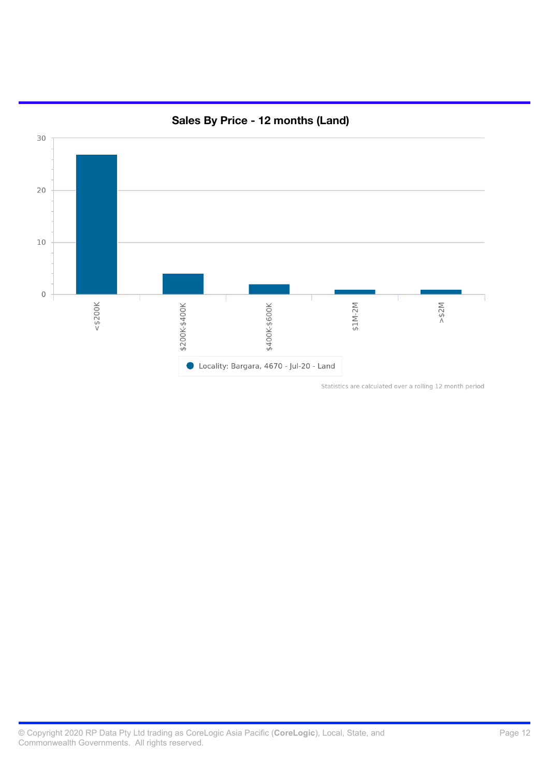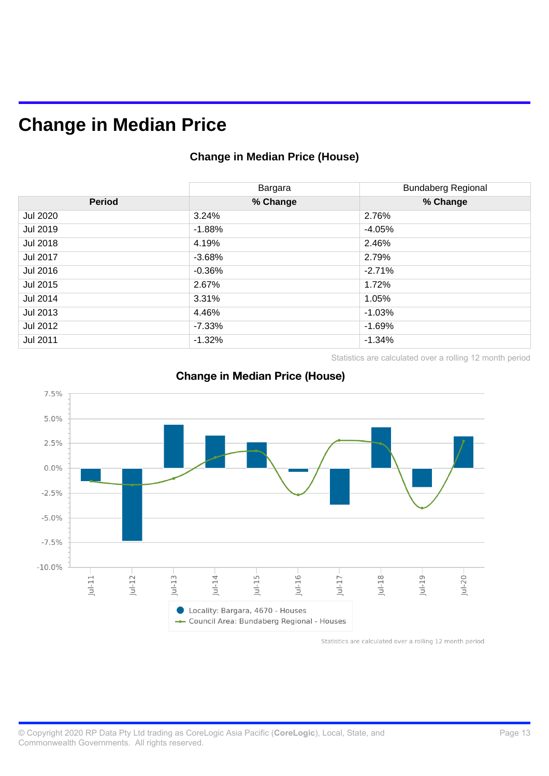# **Change in Median Price**

### **Change in Median Price (House)**

|                 | Bargara  | <b>Bundaberg Regional</b> |
|-----------------|----------|---------------------------|
| <b>Period</b>   | % Change | % Change                  |
| <b>Jul 2020</b> | 3.24%    | 2.76%                     |
| Jul 2019        | $-1.88%$ | $-4.05%$                  |
| Jul 2018        | 4.19%    | 2.46%                     |
| <b>Jul 2017</b> | $-3.68%$ | 2.79%                     |
| Jul 2016        | $-0.36%$ | $-2.71%$                  |
| Jul 2015        | 2.67%    | 1.72%                     |
| Jul 2014        | 3.31%    | 1.05%                     |
| Jul 2013        | 4.46%    | $-1.03%$                  |
| Jul 2012        | $-7.33%$ | $-1.69%$                  |
| Jul 2011        | $-1.32%$ | $-1.34%$                  |

Statistics are calculated over a rolling 12 month period



#### **Change in Median Price (House)**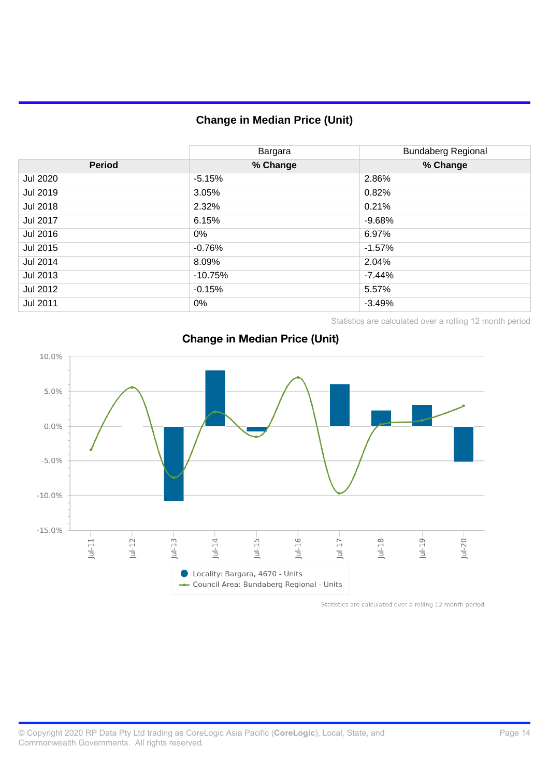# **Change in Median Price (Unit)**

|                 | Bargara   | <b>Bundaberg Regional</b> |
|-----------------|-----------|---------------------------|
| <b>Period</b>   | % Change  | % Change                  |
| Jul 2020        | $-5.15%$  | 2.86%                     |
| Jul 2019        | 3.05%     | 0.82%                     |
| Jul 2018        | 2.32%     | 0.21%                     |
| <b>Jul 2017</b> | 6.15%     | $-9.68%$                  |
| Jul 2016        | $0\%$     | 6.97%                     |
| Jul 2015        | $-0.76%$  | $-1.57%$                  |
| Jul 2014        | 8.09%     | 2.04%                     |
| Jul 2013        | $-10.75%$ | $-7.44%$                  |
| Jul 2012        | $-0.15%$  | 5.57%                     |
| Jul 2011        | $0\%$     | $-3.49%$                  |

Statistics are calculated over a rolling 12 month period



# **Change in Median Price (Unit)**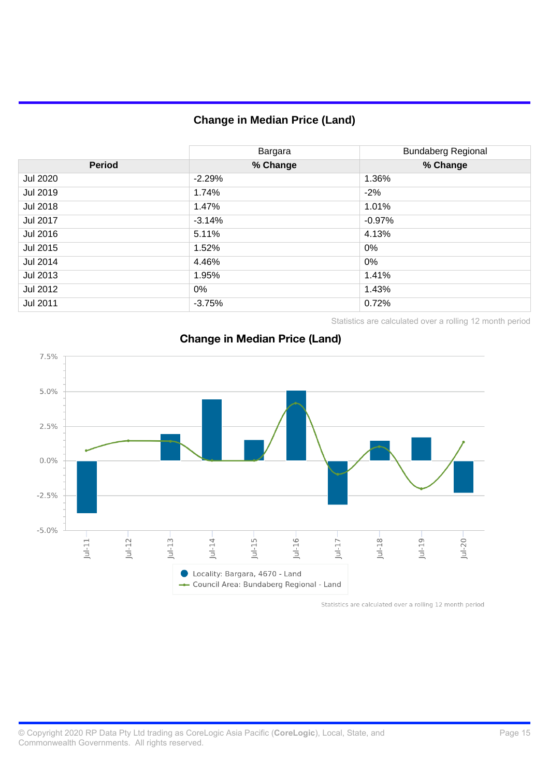# **Change in Median Price (Land)**

|               | Bargara  | <b>Bundaberg Regional</b> |
|---------------|----------|---------------------------|
| <b>Period</b> | % Change | % Change                  |
| Jul 2020      | $-2.29%$ | 1.36%                     |
| Jul 2019      | 1.74%    | $-2%$                     |
| Jul 2018      | 1.47%    | 1.01%                     |
| Jul 2017      | $-3.14%$ | $-0.97%$                  |
| Jul 2016      | 5.11%    | 4.13%                     |
| Jul 2015      | 1.52%    | 0%                        |
| Jul 2014      | 4.46%    | 0%                        |
| Jul 2013      | 1.95%    | 1.41%                     |
| Jul 2012      | $0\%$    | 1.43%                     |
| Jul 2011      | $-3.75%$ | 0.72%                     |

Statistics are calculated over a rolling 12 month period



#### **Change in Median Price (Land)**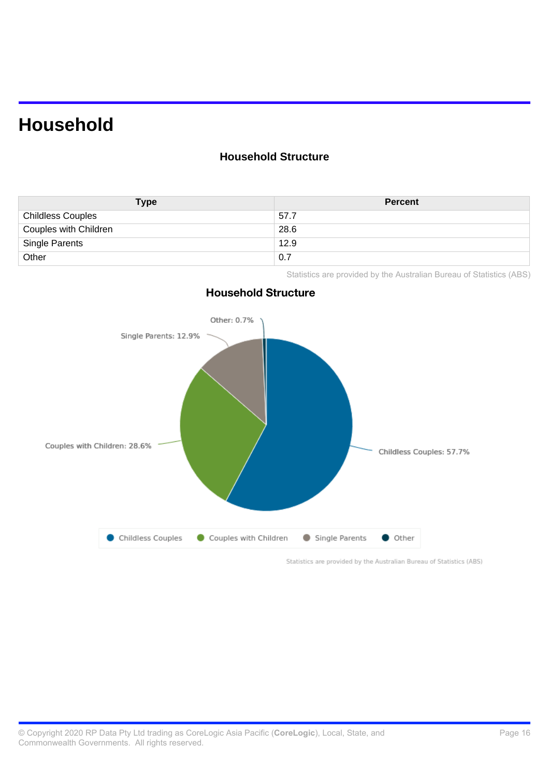# **Household**

### **Household Structure**

| Type                     | <b>Percent</b> |
|--------------------------|----------------|
| <b>Childless Couples</b> | 57.7           |
| Couples with Children    | 28.6           |
| <b>Single Parents</b>    | 12.9           |
| Other                    | 0.7            |

Statistics are provided by the Australian Bureau of Statistics (ABS)



### **Household Structure**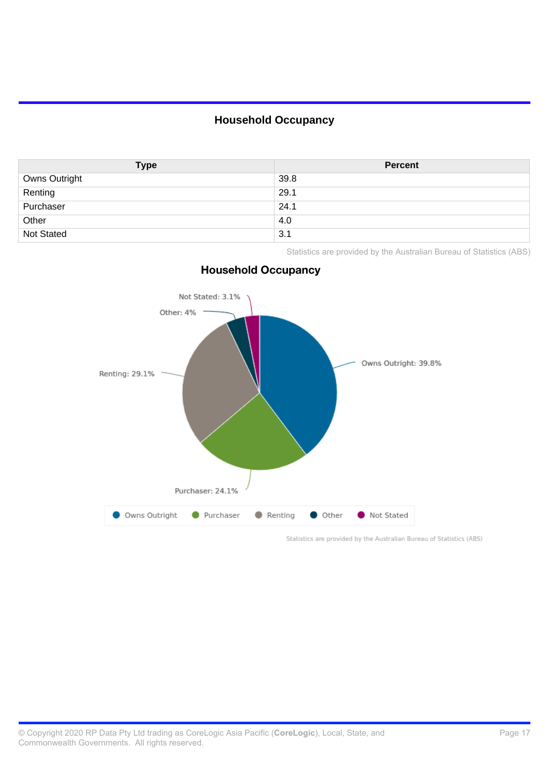### **Household Occupancy**

| <b>Type</b>   | <b>Percent</b> |
|---------------|----------------|
| Owns Outright | 39.8           |
| Renting       | 29.1           |
| Purchaser     | 24.1           |
| Other         | 4.0            |
| Not Stated    | 3.1            |

Statistics are provided by the Australian Bureau of Statistics (ABS)



### **Household Occupancy**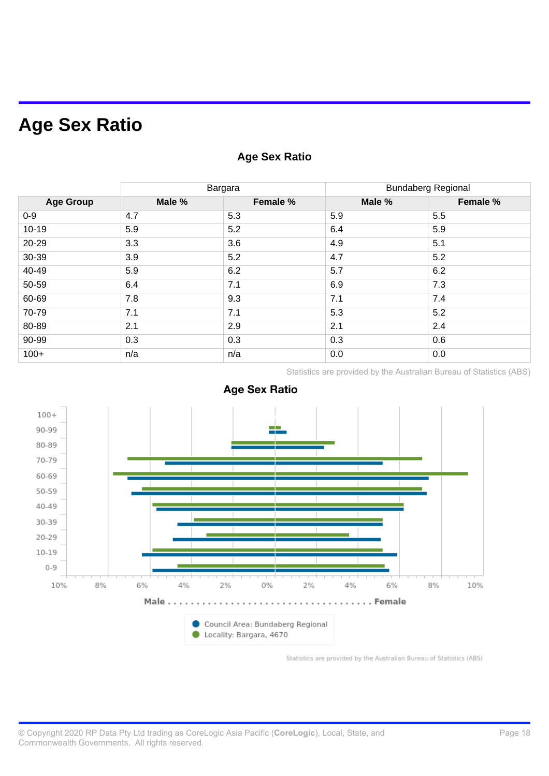# **Age Sex Ratio**

|                  | Bargara |          | <b>Bundaberg Regional</b> |          |
|------------------|---------|----------|---------------------------|----------|
| <b>Age Group</b> | Male %  | Female % | Male %                    | Female % |
| $0-9$            | 4.7     | 5.3      | 5.9                       | 5.5      |
| $10 - 19$        | 5.9     | 5.2      | 6.4                       | 5.9      |
| 20-29            | 3.3     | 3.6      | 4.9                       | 5.1      |
| 30-39            | 3.9     | 5.2      | 4.7                       | 5.2      |
| 40-49            | 5.9     | 6.2      | 5.7                       | 6.2      |
| 50-59            | 6.4     | 7.1      | 6.9                       | 7.3      |
| 60-69            | 7.8     | 9.3      | 7.1                       | 7.4      |
| 70-79            | 7.1     | 7.1      | 5.3                       | 5.2      |
| 80-89            | 2.1     | 2.9      | 2.1                       | 2.4      |
| 90-99            | 0.3     | 0.3      | 0.3                       | 0.6      |
| $100+$           | n/a     | n/a      | 0.0                       | 0.0      |

# **Age Sex Ratio**

Statistics are provided by the Australian Bureau of Statistics (ABS)



### **Age Sex Ratio**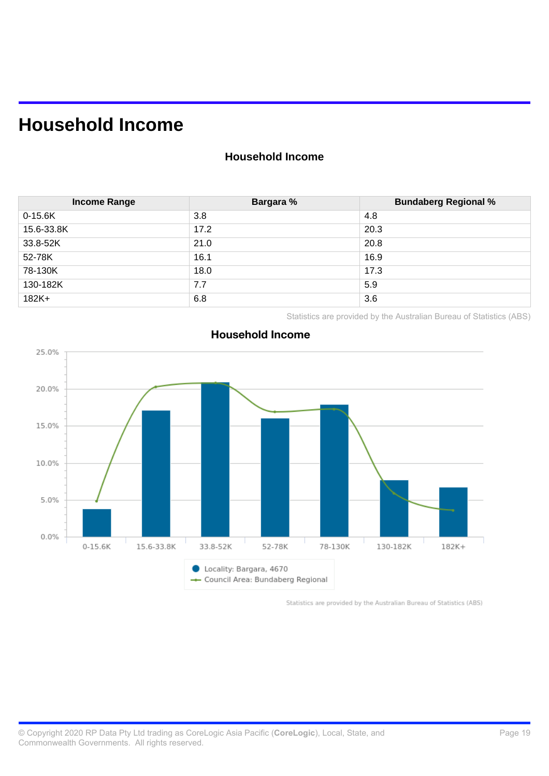# **Household Income**

#### **Household Income**

| <b>Income Range</b> | <b>Bargara</b> % | <b>Bundaberg Regional %</b> |
|---------------------|------------------|-----------------------------|
| $0-15.6K$           | 3.8              | 4.8                         |
| 15.6-33.8K          | 17.2             | 20.3                        |
| 33.8-52K            | 21.0             | 20.8                        |
| 52-78K              | 16.1             | 16.9                        |
| 78-130K             | 18.0             | 17.3                        |
| 130-182K            | 7.7              | 5.9                         |
| $182K+$             | 6.8              | 3.6                         |

Statistics are provided by the Australian Bureau of Statistics (ABS)



#### **Household Income**